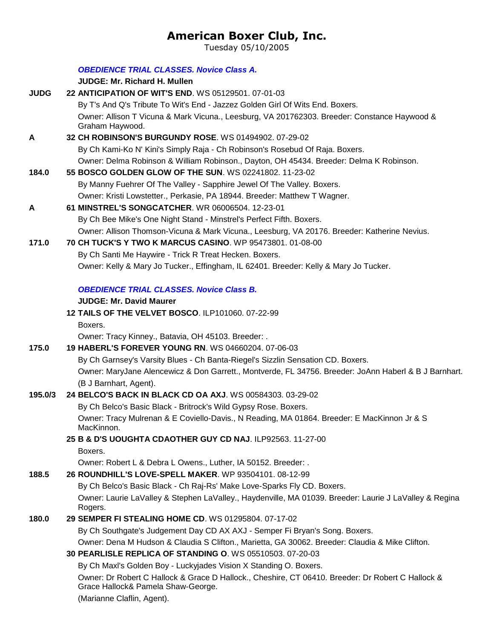# **American Boxer Club, Inc.**

Tuesday 05/10/2005

|             | <b>OBEDIENCE TRIAL CLASSES. Novice Class A.</b>                                                                                         |
|-------------|-----------------------------------------------------------------------------------------------------------------------------------------|
|             | <b>JUDGE: Mr. Richard H. Mullen</b><br>22 ANTICIPATION OF WIT'S END. WS 05129501. 07-01-03                                              |
| <b>JUDG</b> | By T's And Q's Tribute To Wit's End - Jazzez Golden Girl Of Wits End. Boxers.                                                           |
|             |                                                                                                                                         |
|             | Owner: Allison T Vicuna & Mark Vicuna., Leesburg, VA 201762303. Breeder: Constance Haywood &<br>Graham Haywood.                         |
| A           | 32 CH ROBINSON'S BURGUNDY ROSE. WS 01494902. 07-29-02                                                                                   |
|             | By Ch Kami-Ko N' Kini's Simply Raja - Ch Robinson's Rosebud Of Raja. Boxers.                                                            |
|             | Owner: Delma Robinson & William Robinson., Dayton, OH 45434. Breeder: Delma K Robinson.                                                 |
| 184.0       | 55 BOSCO GOLDEN GLOW OF THE SUN. WS 02241802. 11-23-02                                                                                  |
|             | By Manny Fuehrer Of The Valley - Sapphire Jewel Of The Valley. Boxers.                                                                  |
|             | Owner: Kristi Lowstetter., Perkasie, PA 18944. Breeder: Matthew T Wagner.                                                               |
| A           | 61 MINSTREL'S SONGCATCHER. WR 06006504. 12-23-01                                                                                        |
|             | By Ch Bee Mike's One Night Stand - Minstrel's Perfect Fifth. Boxers.                                                                    |
|             | Owner: Allison Thomson-Vicuna & Mark Vicuna., Leesburg, VA 20176. Breeder: Katherine Nevius.                                            |
| 171.0       | 70 CH TUCK'S Y TWO K MARCUS CASINO. WP 95473801. 01-08-00                                                                               |
|             | By Ch Santi Me Haywire - Trick R Treat Hecken. Boxers.                                                                                  |
|             | Owner: Kelly & Mary Jo Tucker., Effingham, IL 62401. Breeder: Kelly & Mary Jo Tucker.                                                   |
|             |                                                                                                                                         |
|             | <b>OBEDIENCE TRIAL CLASSES. Novice Class B.</b>                                                                                         |
|             | <b>JUDGE: Mr. David Maurer</b>                                                                                                          |
|             | 12 TAILS OF THE VELVET BOSCO. ILP101060. 07-22-99                                                                                       |
|             | Boxers.                                                                                                                                 |
|             | Owner: Tracy Kinney., Batavia, OH 45103. Breeder: .                                                                                     |
| 175.0       | <b>19 HABERL'S FOREVER YOUNG RN. WS 04660204. 07-06-03</b>                                                                              |
|             | By Ch Garnsey's Varsity Blues - Ch Banta-Riegel's Sizzlin Sensation CD. Boxers.                                                         |
|             | Owner: MaryJane Alencewicz & Don Garrett., Montverde, FL 34756. Breeder: JoAnn Haberl & B J Barnhart.<br>(B J Barnhart, Agent).         |
| 195.0/3     | 24 BELCO'S BACK IN BLACK CD OA AXJ. WS 00584303. 03-29-02                                                                               |
|             | By Ch Belco's Basic Black - Britrock's Wild Gypsy Rose. Boxers.                                                                         |
|             | Owner: Tracy Mulrenan & E Coviello-Davis., N Reading, MA 01864. Breeder: E MacKinnon Jr & S                                             |
|             | MacKinnon.                                                                                                                              |
|             | 25 B & D'S UOUGHTA CDAOTHER GUY CD NAJ. ILP92563. 11-27-00                                                                              |
|             | Boxers.                                                                                                                                 |
|             | Owner: Robert L & Debra L Owens., Luther, IA 50152. Breeder: .                                                                          |
| 188.5       | 26 ROUNDHILL'S LOVE-SPELL MAKER. WP 93504101. 08-12-99                                                                                  |
|             | By Ch Belco's Basic Black - Ch Raj-Rs' Make Love-Sparks Fly CD. Boxers.                                                                 |
|             | Owner: Laurie LaValley & Stephen LaValley., Haydenville, MA 01039. Breeder: Laurie J LaValley & Regina<br>Rogers.                       |
| 180.0       | 29 SEMPER FI STEALING HOME CD. WS 01295804, 07-17-02                                                                                    |
|             | By Ch Southgate's Judgement Day CD AX AXJ - Semper Fi Bryan's Song. Boxers.                                                             |
|             | Owner: Dena M Hudson & Claudia S Clifton., Marietta, GA 30062. Breeder: Claudia & Mike Clifton.                                         |
|             | 30 PEARLISLE REPLICA OF STANDING O. WS 05510503. 07-20-03                                                                               |
|             | By Ch Maxl's Golden Boy - Luckyjades Vision X Standing O. Boxers.                                                                       |
|             | Owner: Dr Robert C Hallock & Grace D Hallock., Cheshire, CT 06410. Breeder: Dr Robert C Hallock &<br>Grace Hallock& Pamela Shaw-George. |
|             | (Marianne Claflin, Agent).                                                                                                              |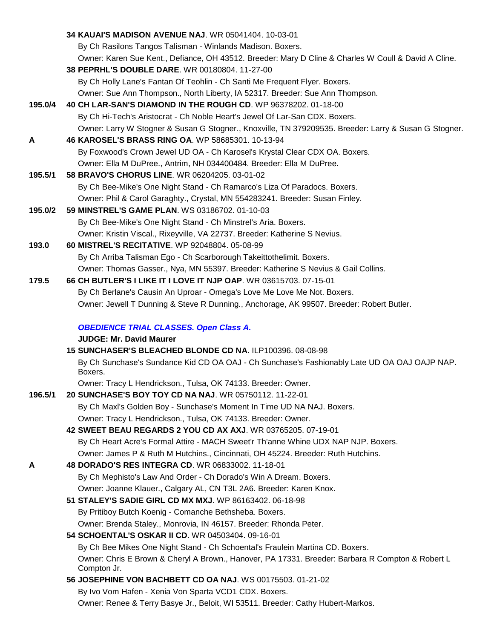|         | 34 KAUAI'S MADISON AVENUE NAJ. WR 05041404. 10-03-01                                                                                         |
|---------|----------------------------------------------------------------------------------------------------------------------------------------------|
|         | By Ch Rasilons Tangos Talisman - Winlands Madison. Boxers.                                                                                   |
|         | Owner: Karen Sue Kent., Defiance, OH 43512. Breeder: Mary D Cline & Charles W Coull & David A Cline.                                         |
|         | 38 PEPRHL'S DOUBLE DARE. WR 00180804. 11-27-00                                                                                               |
|         | By Ch Holly Lane's Fantan Of Teohlin - Ch Santi Me Frequent Flyer. Boxers.                                                                   |
|         | Owner: Sue Ann Thompson., North Liberty, IA 52317. Breeder: Sue Ann Thompson.                                                                |
| 195.0/4 | 40 CH LAR-SAN'S DIAMOND IN THE ROUGH CD. WP 96378202. 01-18-00                                                                               |
|         | By Ch Hi-Tech's Aristocrat - Ch Noble Heart's Jewel Of Lar-San CDX. Boxers.                                                                  |
|         | Owner: Larry W Stogner & Susan G Stogner., Knoxville, TN 379209535. Breeder: Larry & Susan G Stogner.                                        |
| A       | 46 KAROSEL'S BRASS RING OA. WP 58685301. 10-13-94                                                                                            |
|         | By Foxwood's Crown Jewel UD OA - Ch Karosel's Krystal Clear CDX OA. Boxers.                                                                  |
|         | Owner: Ella M DuPree., Antrim, NH 034400484. Breeder: Ella M DuPree.                                                                         |
| 195.5/1 | 58 BRAVO'S CHORUS LINE. WR 06204205. 03-01-02                                                                                                |
|         | By Ch Bee-Mike's One Night Stand - Ch Ramarco's Liza Of Paradocs. Boxers.                                                                    |
|         | Owner: Phil & Carol Garaghty., Crystal, MN 554283241. Breeder: Susan Finley.                                                                 |
| 195.0/2 | 59 MINSTREL'S GAME PLAN, WS 03186702, 01-10-03                                                                                               |
|         | By Ch Bee-Mike's One Night Stand - Ch Minstrel's Aria. Boxers.                                                                               |
|         | Owner: Kristin Viscal., Rixeyville, VA 22737. Breeder: Katherine S Nevius.                                                                   |
| 193.0   | 60 MISTREL'S RECITATIVE. WP 92048804. 05-08-99                                                                                               |
|         | By Ch Arriba Talisman Ego - Ch Scarborough Takeittothelimit. Boxers.                                                                         |
|         | Owner: Thomas Gasser., Nya, MN 55397. Breeder: Katherine S Nevius & Gail Collins.                                                            |
| 179.5   | 66 CH BUTLER'S I LIKE IT I LOVE IT NJP OAP. WR 03615703. 07-15-01<br>By Ch Berlane's Causin An Uproar - Omega's Love Me Love Me Not. Boxers. |
|         | Owner: Jewell T Dunning & Steve R Dunning., Anchorage, AK 99507. Breeder: Robert Butler.                                                     |
|         |                                                                                                                                              |
|         | <b>OBEDIENCE TRIAL CLASSES. Open Class A.</b>                                                                                                |
|         | <b>JUDGE: Mr. David Maurer</b>                                                                                                               |
|         | 15 SUNCHASER'S BLEACHED BLONDE CD NA. ILP100396. 08-08-98                                                                                    |
|         | By Ch Sunchase's Sundance Kid CD OA OAJ - Ch Sunchase's Fashionably Late UD OA OAJ OAJP NAP.<br>Boxers.                                      |
|         | Owner: Tracy L Hendrickson., Tulsa, OK 74133. Breeder: Owner.                                                                                |
| 196.5/1 | 20 SUNCHASE'S BOY TOY CD NA NAJ. WR 05750112. 11-22-01                                                                                       |
|         | By Ch Maxl's Golden Boy - Sunchase's Moment In Time UD NA NAJ. Boxers.                                                                       |
|         | Owner: Tracy L Hendrickson., Tulsa, OK 74133. Breeder: Owner.                                                                                |
|         | 42 SWEET BEAU REGARDS 2 YOU CD AX AXJ. WR 03765205. 07-19-01                                                                                 |
|         | By Ch Heart Acre's Formal Attire - MACH Sweet'r Th'anne Whine UDX NAP NJP. Boxers.                                                           |
|         | Owner: James P & Ruth M Hutchins., Cincinnati, OH 45224. Breeder: Ruth Hutchins.                                                             |
| А       | 48 DORADO'S RES INTEGRA CD. WR 06833002. 11-18-01<br>By Ch Mephisto's Law And Order - Ch Dorado's Win A Dream. Boxers.                       |
|         | Owner: Joanne Klauer., Calgary AL, CN T3L 2A6. Breeder: Karen Knox.                                                                          |
|         | 51 STALEY'S SADIE GIRL CD MX MXJ. WP 86163402. 06-18-98                                                                                      |
|         | By Pritiboy Butch Koenig - Comanche Bethsheba. Boxers.                                                                                       |
|         | Owner: Brenda Staley., Monrovia, IN 46157. Breeder: Rhonda Peter.                                                                            |
|         | 54 SCHOENTAL'S OSKAR II CD. WR 04503404. 09-16-01                                                                                            |
|         | By Ch Bee Mikes One Night Stand - Ch Schoental's Fraulein Martina CD. Boxers.                                                                |
|         | Owner: Chris E Brown & Cheryl A Brown., Hanover, PA 17331. Breeder: Barbara R Compton & Robert L                                             |
|         | Compton Jr.                                                                                                                                  |
|         | 56 JOSEPHINE VON BACHBETT CD OA NAJ. WS 00175503. 01-21-02                                                                                   |
|         | By Ivo Vom Hafen - Xenia Von Sparta VCD1 CDX. Boxers.                                                                                        |
|         | Owner: Renee & Terry Basye Jr., Beloit, WI 53511. Breeder: Cathy Hubert-Markos.                                                              |
|         |                                                                                                                                              |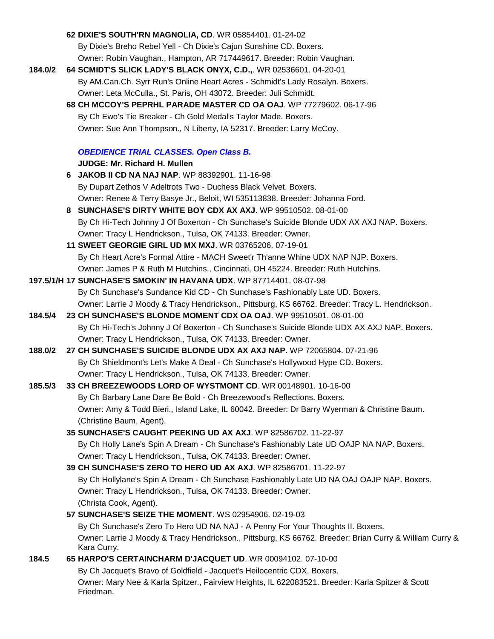|         | 62 DIXIE'S SOUTH'RN MAGNOLIA, CD. WR 05854401. 01-24-02                                                       |
|---------|---------------------------------------------------------------------------------------------------------------|
|         | By Dixie's Breho Rebel Yell - Ch Dixie's Cajun Sunshine CD. Boxers.                                           |
|         | Owner: Robin Vaughan., Hampton, AR 717449617. Breeder: Robin Vaughan.                                         |
| 184.0/2 | 64 SCMIDT'S SLICK LADY'S BLACK ONYX, C.D.,. WR 02536601. 04-20-01                                             |
|         | By AM.Can.Ch. Syrr Run's Online Heart Acres - Schmidt's Lady Rosalyn. Boxers.                                 |
|         | Owner: Leta McCulla., St. Paris, OH 43072. Breeder: Juli Schmidt.                                             |
|         | 68 CH MCCOY'S PEPRHL PARADE MASTER CD OA OAJ. WP 77279602. 06-17-96                                           |
|         | By Ch Ewo's Tie Breaker - Ch Gold Medal's Taylor Made. Boxers.                                                |
|         | Owner: Sue Ann Thompson., N Liberty, IA 52317. Breeder: Larry McCoy.                                          |
|         |                                                                                                               |
|         | <b>OBEDIENCE TRIAL CLASSES. Open Class B.</b>                                                                 |
|         | JUDGE: Mr. Richard H. Mullen                                                                                  |
|         | 6 JAKOB II CD NA NAJ NAP. WP 88392901. 11-16-98                                                               |
|         | By Dupart Zethos V Adeltrots Two - Duchess Black Velvet. Boxers.                                              |
|         | Owner: Renee & Terry Basye Jr., Beloit, WI 535113838. Breeder: Johanna Ford.                                  |
|         | 8 SUNCHASE'S DIRTY WHITE BOY CDX AX AXJ. WP 99510502. 08-01-00                                                |
|         | By Ch Hi-Tech Johnny J Of Boxerton - Ch Sunchase's Suicide Blonde UDX AX AXJ NAP. Boxers.                     |
|         | Owner: Tracy L Hendrickson., Tulsa, OK 74133. Breeder: Owner.                                                 |
|         | 11 SWEET GEORGIE GIRL UD MX MXJ. WR 03765206. 07-19-01                                                        |
|         | By Ch Heart Acre's Formal Attire - MACH Sweet'r Th'anne Whine UDX NAP NJP. Boxers.                            |
|         | Owner: James P & Ruth M Hutchins., Cincinnati, OH 45224. Breeder: Ruth Hutchins.                              |
|         | 197.5/1/H 17 SUNCHASE'S SMOKIN' IN HAVANA UDX. WP 87714401. 08-07-98                                          |
|         | By Ch Sunchase's Sundance Kid CD - Ch Sunchase's Fashionably Late UD. Boxers.                                 |
|         | Owner: Larrie J Moody & Tracy Hendrickson., Pittsburg, KS 66762. Breeder: Tracy L. Hendrickson.               |
| 184.5/4 | 23 CH SUNCHASE'S BLONDE MOMENT CDX OA OAJ. WP 99510501. 08-01-00                                              |
|         | By Ch Hi-Tech's Johnny J Of Boxerton - Ch Sunchase's Suicide Blonde UDX AX AXJ NAP. Boxers.                   |
|         | Owner: Tracy L Hendrickson., Tulsa, OK 74133. Breeder: Owner.                                                 |
| 188.0/2 | 27 CH SUNCHASE'S SUICIDE BLONDE UDX AX AXJ NAP. WP 72065804. 07-21-96                                         |
|         | By Ch Shieldmont's Let's Make A Deal - Ch Sunchase's Hollywood Hype CD. Boxers.                               |
|         | Owner: Tracy L Hendrickson., Tulsa, OK 74133. Breeder: Owner.                                                 |
| 185.5/3 | 33 CH BREEZEWOODS LORD OF WYSTMONT CD. WR 00148901. 10-16-00                                                  |
|         | By Ch Barbary Lane Dare Be Bold - Ch Breezewood's Reflections. Boxers.                                        |
|         | Owner: Amy & Todd Bieri., Island Lake, IL 60042. Breeder: Dr Barry Wyerman & Christine Baum.                  |
|         | (Christine Baum, Agent).                                                                                      |
|         | 35 SUNCHASE'S CAUGHT PEEKING UD AX AXJ. WP 82586702. 11-22-97                                                 |
|         | By Ch Holly Lane's Spin A Dream - Ch Sunchase's Fashionably Late UD OAJP NA NAP. Boxers.                      |
|         | Owner: Tracy L Hendrickson., Tulsa, OK 74133. Breeder: Owner.                                                 |
|         | 39 CH SUNCHASE'S ZERO TO HERO UD AX AXJ. WP 82586701. 11-22-97                                                |
|         | By Ch Hollylane's Spin A Dream - Ch Sunchase Fashionably Late UD NA OAJ OAJP NAP. Boxers.                     |
|         | Owner: Tracy L Hendrickson., Tulsa, OK 74133. Breeder: Owner.                                                 |
|         | (Christa Cook, Agent).                                                                                        |
|         | 57 SUNCHASE'S SEIZE THE MOMENT. WS 02954906. 02-19-03                                                         |
|         | By Ch Sunchase's Zero To Hero UD NA NAJ - A Penny For Your Thoughts II. Boxers.                               |
|         | Owner: Larrie J Moody & Tracy Hendrickson., Pittsburg, KS 66762. Breeder: Brian Curry & William Curry &       |
|         | Kara Curry.                                                                                                   |
| 184.5   | 65 HARPO'S CERTAINCHARM D'JACQUET UD. WR 00094102. 07-10-00                                                   |
|         | By Ch Jacquet's Bravo of Goldfield - Jacquet's Heilocentric CDX. Boxers.                                      |
|         | Owner: Mary Nee & Karla Spitzer., Fairview Heights, IL 622083521. Breeder: Karla Spitzer & Scott<br>Friedman. |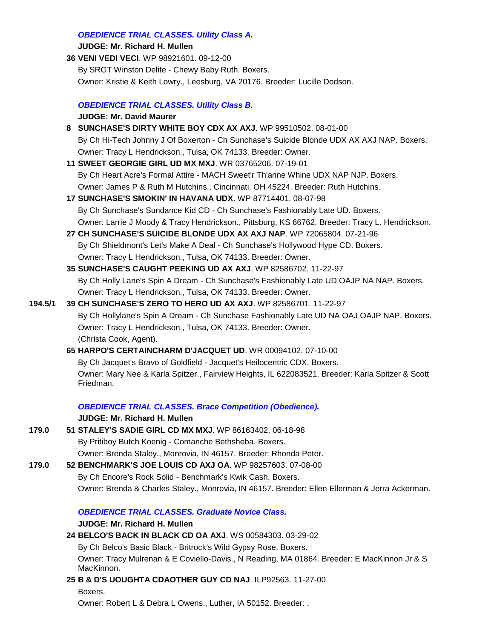#### *OBEDIENCE TRIAL CLASSES. Utility Class A.*

#### **JUDGE: [Mr. Richard H. Mullen](http://www.infodog.com/judges/3052/juddat.htm)**

**36 [VENI VEDI VECI](http://canis.infodog.com/files/bdogrsl1.prg;makc=WP_98921601;mdog=Veni_Vedi_Veci;wins=all)**. WP 98921601. 09-12-00 By SRGT Winston Delite - Chewy Baby Ruth. Boxers. Owner: Kristie & Keith Lowry., Leesburg, VA 20176. Breeder: Lucille Dodson.

## *OBEDIENCE TRIAL CLASSES. Utility Class B.* **JUDGE: [Mr. David Maurer](http://www.infodog.com/judges/3160/juddat.htm)**

- **8 [SUNCHASE'S DIRTY WHITE BOY CDX AX AXJ](http://canis.infodog.com/files/bdogrsl1.prg;makc=WP_99510502;mdog=Sunchase_s_Dirty_White_Boy_CDX_AX_AXJ;wins=all)**. WP 99510502. 08-01-00 By Ch Hi-Tech Johnny J Of Boxerton - Ch Sunchase's Suicide Blonde UDX AX AXJ NAP. Boxers. Owner: Tracy L Hendrickson., Tulsa, OK 74133. Breeder: Owner. **11 [SWEET GEORGIE GIRL UD MX MXJ](http://canis.infodog.com/files/bdogrsl1.prg;makc=WR_03765206;mdog=Sweet_Georgie_Girl_UD_MX_MXJ;wins=all)**. WR 03765206. 07-19-01 By Ch Heart Acre's Formal Attire - MACH Sweet'r Th'anne Whine UDX NAP NJP. Boxers. Owner: James P & Ruth M Hutchins., Cincinnati, OH 45224. Breeder: Ruth Hutchins. **17 [SUNCHASE'S SMOKIN' IN HAVANA UDX](http://canis.infodog.com/files/bdogrsl1.prg;makc=WP_87714401;mdog=Sunchase_s_Smokin__In_Havana_UDX;wins=all)**. WP 87714401. 08-07-98 By Ch Sunchase's Sundance Kid CD - Ch Sunchase's Fashionably Late UD. Boxers. Owner: Larrie J Moody & Tracy Hendrickson., Pittsburg, KS 66762. Breeder: Tracy L. Hendrickson. **27 [CH SUNCHASE'S SUICIDE BLONDE UDX AX AXJ NAP](http://canis.infodog.com/files/bdogrsl1.prg;makc=WP_72065804;mdog=Ch_Sunchase_s_Suicide_Blonde_UDX_AX_AXJ_NAP;wins=all)**. WP 72065804. 07-21-96 By Ch Shieldmont's Let's Make A Deal - Ch Sunchase's Hollywood Hype CD. Boxers. Owner: Tracy L Hendrickson., Tulsa, OK 74133. Breeder: Owner. **35 [SUNCHASE'S CAUGHT PEEKING UD AX AXJ](http://canis.infodog.com/files/bdogrsl1.prg;makc=WP_82586702;mdog=Sunchase_s_Caught_Peeking_UD_AX_AXJ;wins=all)**. WP 82586702. 11-22-97 By Ch Holly Lane's Spin A Dream - Ch Sunchase's Fashionably Late UD OAJP NA NAP. Boxers. Owner: Tracy L Hendrickson., Tulsa, OK 74133. Breeder: Owner. **194.5/1 39 CH [SUNCHASE'S ZERO TO HERO UD AX AXJ](http://canis.infodog.com/files/bdogrsl1.prg;makc=WP_82586701;mdog=Ch_Sunchase_s_Zero_To_Hero_UD_AX_AXJ;wins=all)**. WP 82586701. 11-22-97
- By Ch Hollylane's Spin A Dream Ch Sunchase Fashionably Late UD NA OAJ OAJP NAP. Boxers. Owner: Tracy L Hendrickson., Tulsa, OK 74133. Breeder: Owner. (Christa Cook, Agent).
	- **65 [HARPO'S CERTAINCHARM D'JACQUET UD](http://canis.infodog.com/files/bdogrsl1.prg;makc=WR_00094102;mdog=Harpo_s_Certaincharm_D_Jacquet_UD;wins=all)**. WR 00094102. 07-10-00 By Ch Jacquet's Bravo of Goldfield - Jacquet's Heilocentric CDX. Boxers. Owner: Mary Nee & Karla Spitzer., Fairview Heights, IL 622083521. Breeder: Karla Spitzer & Scott Friedman.

#### *OBEDIENCE TRIAL CLASSES. Brace Competition (Obedience).*

#### **JUDGE: [Mr. Richard H. Mullen](http://www.infodog.com/judges/3052/juddat.htm)**

- **179.0 51 [STALEY'S SADIE GIRL CD MX MXJ](http://canis.infodog.com/files/bdogrsl1.prg;makc=WP_86163402;mdog=Staley_s_Sadie_Girl_CD_MX_MXJ;wins=all)**. WP 86163402. 06-18-98 By Pritiboy Butch Koenig - Comanche Bethsheba. Boxers. Owner: Brenda Staley., Monrovia, IN 46157. Breeder: Rhonda Peter.
- **179.0 52 [BENCHMARK'S JOE LOUIS CD AXJ OA](http://canis.infodog.com/files/bdogrsl1.prg;makc=WP_98257603;mdog=Benchmark_s_Joe_Louis_CD_AXJ_OA;wins=all)**. WP 98257603. 07-08-00 By Ch Encore's Rock Solid - Benchmark's Kwik Cash. Boxers. Owner: Brenda & Charles Staley., Monrovia, IN 46157. Breeder: Ellen Ellerman & Jerra Ackerman.

## *OBEDIENCE TRIAL CLASSES. Graduate Novice Class.*

## **JUDGE: [Mr. Richard H. Mullen](http://www.infodog.com/judges/3052/juddat.htm)**

**24 [BELCO'S BACK IN BLACK CD OA AXJ](http://canis.infodog.com/files/bdogrsl1.prg;makc=WS_00584303;mdog=Belco_s_Back_In_Black_CD_OA_AXJ;wins=all)**. WS 00584303. 03-29-02

By Ch Belco's Basic Black - Britrock's Wild Gypsy Rose. Boxers. Owner: Tracy Mulrenan & E Coviello-Davis., N Reading, MA 01864. Breeder: E MacKinnon Jr & S MacKinnon.

**25 [B & D'S UOUGHTA CDAOTHER GUY CD NAJ](http://canis.infodog.com/files/bdogrsl1.prg;makc=ILP92563;mdog=B_&_D_s_Uoughta_Cdaother_Guy_CD_NAJ;wins=all)**. ILP92563. 11-27-00 Boxers.

Owner: Robert L & Debra L Owens., Luther, IA 50152. Breeder: .